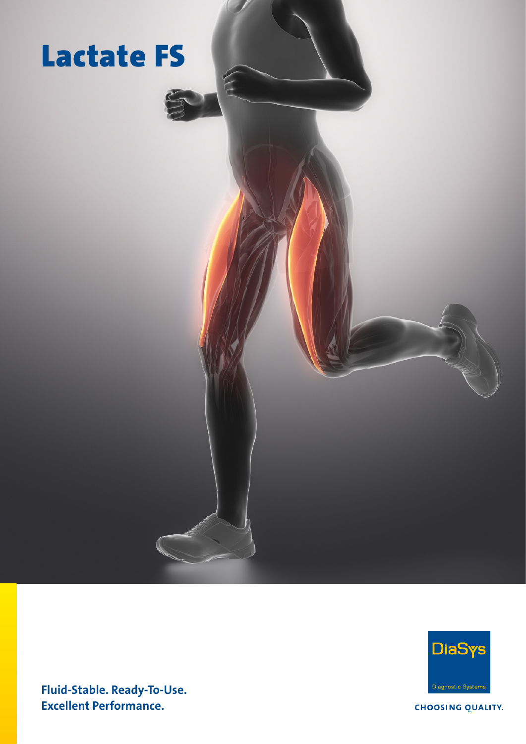

F



Fluid-Stable. Ready-To-Use. Excellent Performance.

**CHOOSING QUALITY.**